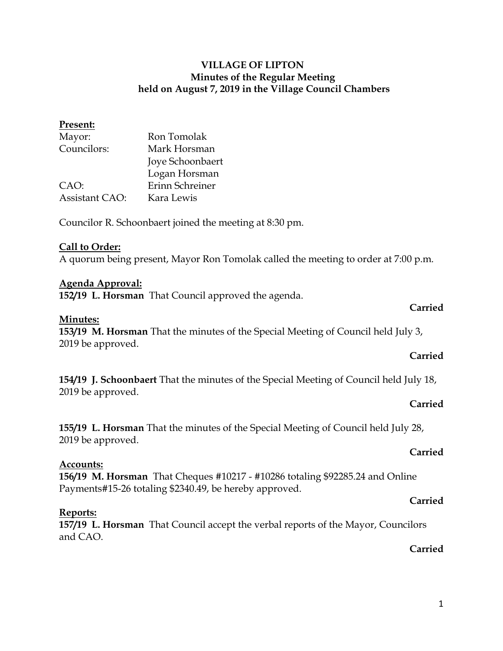### **Present:**

| Mayor:                | Ron Tomolak      |
|-----------------------|------------------|
| Councilors:           | Mark Horsman     |
|                       | Joye Schoonbaert |
|                       | Logan Horsman    |
| CAO:                  | Erinn Schreiner  |
| <b>Assistant CAO:</b> | Kara Lewis       |
|                       |                  |

Councilor R. Schoonbaert joined the meeting at 8:30 pm.

### **Call to Order:**

A quorum being present, Mayor Ron Tomolak called the meeting to order at 7:00 p.m.

### **Agenda Approval:**

**152/19 L. Horsman** That Council approved the agenda.

### **Minutes:**

**153/19 M. Horsman** That the minutes of the Special Meeting of Council held July 3, 2019 be approved.

### **Carried**

**Carried**

**154/19 J. Schoonbaert** That the minutes of the Special Meeting of Council held July 18, 2019 be approved.

### **Carried**

**155/19 L. Horsman** That the minutes of the Special Meeting of Council held July 28, 2019 be approved.

### **Carried**

### **Accounts:**

**156/19 M. Horsman** That Cheques #10217 - #10286 totaling \$92285.24 and Online Payments#15-26 totaling \$2340.49, be hereby approved.

### **Carried**

### **Reports:**

**157/19 L. Horsman** That Council accept the verbal reports of the Mayor, Councilors and CAO.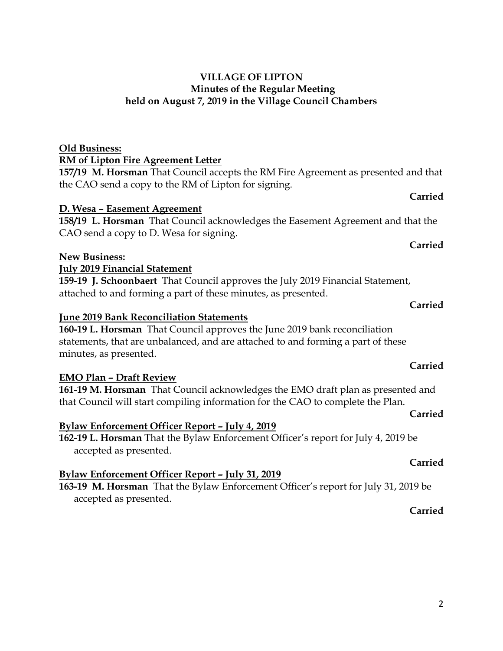# **Old Business: RM of Lipton Fire Agreement Letter**

**157/19 M. Horsman** That Council accepts the RM Fire Agreement as presented and that the CAO send a copy to the RM of Lipton for signing.

# **D. Wesa – Easement Agreement**

**158/19 L. Horsman** That Council acknowledges the Easement Agreement and that the CAO send a copy to D. Wesa for signing.

# **New Business:**

# **July 2019 Financial Statement**

**159-19 J. Schoonbaert** That Council approves the July 2019 Financial Statement, attached to and forming a part of these minutes, as presented.

# **June 2019 Bank Reconciliation Statements**

**160-19 L. Horsman** That Council approves the June 2019 bank reconciliation statements, that are unbalanced, and are attached to and forming a part of these minutes, as presented.

# **EMO Plan – Draft Review**

**161-19 M. Horsman** That Council acknowledges the EMO draft plan as presented and that Council will start compiling information for the CAO to complete the Plan.

# **Bylaw Enforcement Officer Report – July 4, 2019**

**162-19 L. Horsman** That the Bylaw Enforcement Officer's report for July 4, 2019 be accepted as presented.

# **Bylaw Enforcement Officer Report – July 31, 2019**

**163-19 M. Horsman** That the Bylaw Enforcement Officer's report for July 31, 2019 be accepted as presented.

### **Carried**

### **Carried**

# **Carried**

**Carried**

**Carried**

# **Carried**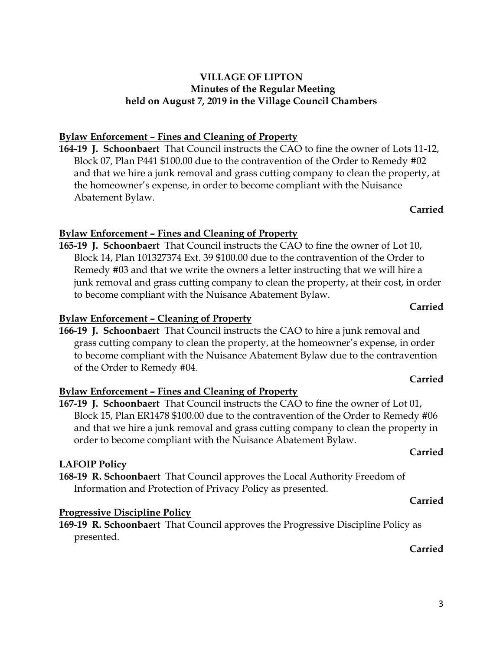# **Bylaw Enforcement – Fines and Cleaning of Property**

**164-19 J. Schoonbaert** That Council instructs the CAO to fine the owner of Lots 11-12, Block 07, Plan P441 \$100.00 due to the contravention of the Order to Remedy #02 and that we hire a junk removal and grass cutting company to clean the property, at the homeowner's expense, in order to become compliant with the Nuisance Abatement Bylaw.

## **Carried**

# **Bylaw Enforcement – Fines and Cleaning of Property**

**165-19 J. Schoonbaert** That Council instructs the CAO to fine the owner of Lot 10, Block 14, Plan 101327374 Ext. 39 \$100.00 due to the contravention of the Order to Remedy #03 and that we write the owners a letter instructing that we will hire a junk removal and grass cutting company to clean the property, at their cost, in order to become compliant with the Nuisance Abatement Bylaw.

# **Bylaw Enforcement – Cleaning of Property**

**166-19 J. Schoonbaert** That Council instructs the CAO to hire a junk removal and grass cutting company to clean the property, at the homeowner's expense, in order to become compliant with the Nuisance Abatement Bylaw due to the contravention of the Order to Remedy #04.

# **Bylaw Enforcement – Fines and Cleaning of Property**

**167-19 J. Schoonbaert** That Council instructs the CAO to fine the owner of Lot 01, Block 15, Plan ER1478 \$100.00 due to the contravention of the Order to Remedy #06 and that we hire a junk removal and grass cutting company to clean the property in order to become compliant with the Nuisance Abatement Bylaw.

# **LAFOIP Policy**

**168-19 R. Schoonbaert** That Council approves the Local Authority Freedom of Information and Protection of Privacy Policy as presented.

# **Progressive Discipline Policy**

**169-19 R. Schoonbaert** That Council approves the Progressive Discipline Policy as presented.

# **Carried**

# **Carried**

**Carried**

## **Carried**